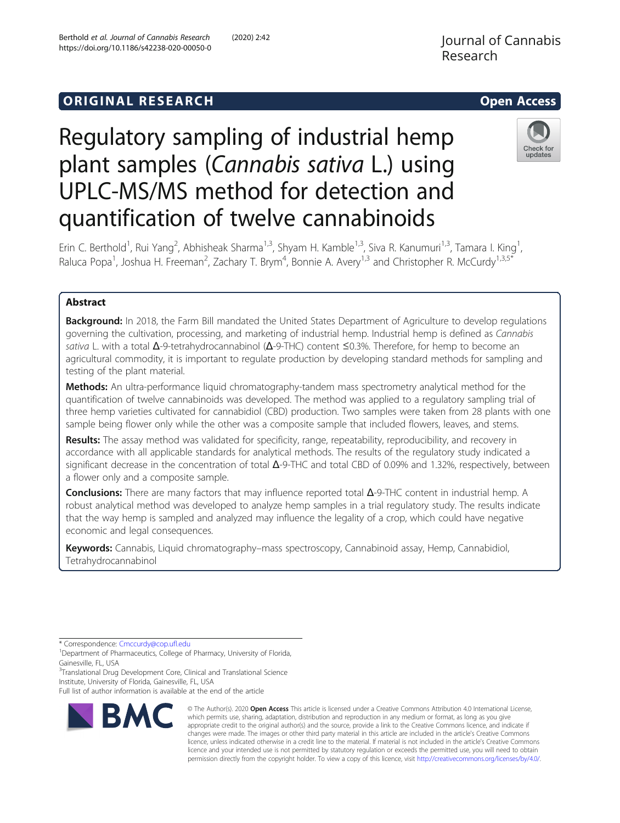https://doi.org/10.1186/s42238-020-00050-0

Berthold et al. Journal of Cannabis Research (2020) 2:42

# **ORIGINAL RESEARCH CONSUMING ACCESS**

# Regulatory sampling of industrial hemp plant samples (Cannabis sativa L.) using UPLC-MS/MS method for detection and quantification of twelve cannabinoids



Erin C. Berthold<sup>1</sup>, Rui Yang<sup>2</sup>, Abhisheak Sharma<sup>1,3</sup>, Shyam H. Kamble<sup>1,3</sup>, Siva R. Kanumuri<sup>1,3</sup>, Tamara I. King<sup>1</sup> , Raluca Popa<sup>1</sup>, Joshua H. Freeman<sup>2</sup>, Zachary T. Brym<sup>4</sup>, Bonnie A. Avery<sup>1,3</sup> and Christopher R. McCurdy<sup>1,3,5\*</sup>

## Abstract

**Background:** In 2018, the Farm Bill mandated the United States Department of Agriculture to develop regulations governing the cultivation, processing, and marketing of industrial hemp. Industrial hemp is defined as Cannabis sativa L. with a total  $Δ$ -9-tetrahydrocannabinol ( $Δ$ -9-THC) content  $≤$ 0.3%. Therefore, for hemp to become an agricultural commodity, it is important to regulate production by developing standard methods for sampling and testing of the plant material.

Methods: An ultra-performance liquid chromatography-tandem mass spectrometry analytical method for the quantification of twelve cannabinoids was developed. The method was applied to a regulatory sampling trial of three hemp varieties cultivated for cannabidiol (CBD) production. Two samples were taken from 28 plants with one sample being flower only while the other was a composite sample that included flowers, leaves, and stems.

Results: The assay method was validated for specificity, range, repeatability, reproducibility, and recovery in accordance with all applicable standards for analytical methods. The results of the regulatory study indicated a significant decrease in the concentration of total  $\Delta$ -9-THC and total CBD of 0.09% and 1.32%, respectively, between a flower only and a composite sample.

Conclusions: There are many factors that may influence reported total Δ-9-THC content in industrial hemp. A robust analytical method was developed to analyze hemp samples in a trial regulatory study. The results indicate that the way hemp is sampled and analyzed may influence the legality of a crop, which could have negative economic and legal consequences.

Keywords: Cannabis, Liquid chromatography–mass spectroscopy, Cannabinoid assay, Hemp, Cannabidiol, Tetrahydrocannabinol

<sup>3</sup>Translational Drug Development Core, Clinical and Translational Science Institute, University of Florida, Gainesville, FL, USA

Full list of author information is available at the end of the article



© The Author(s). 2020 Open Access This article is licensed under a Creative Commons Attribution 4.0 International License, which permits use, sharing, adaptation, distribution and reproduction in any medium or format, as long as you give appropriate credit to the original author(s) and the source, provide a link to the Creative Commons licence, and indicate if changes were made. The images or other third party material in this article are included in the article's Creative Commons licence, unless indicated otherwise in a credit line to the material. If material is not included in the article's Creative Commons licence and your intended use is not permitted by statutory regulation or exceeds the permitted use, you will need to obtain permission directly from the copyright holder. To view a copy of this licence, visit [http://creativecommons.org/licenses/by/4.0/.](http://creativecommons.org/licenses/by/4.0/)

<sup>\*</sup> Correspondence: [Cmccurdy@cop.ufl.edu](mailto:Cmccurdy@cop.ufl.edu) <sup>1</sup>

<sup>&</sup>lt;sup>1</sup>Department of Pharmaceutics, College of Pharmacy, University of Florida, Gainesville, FL, USA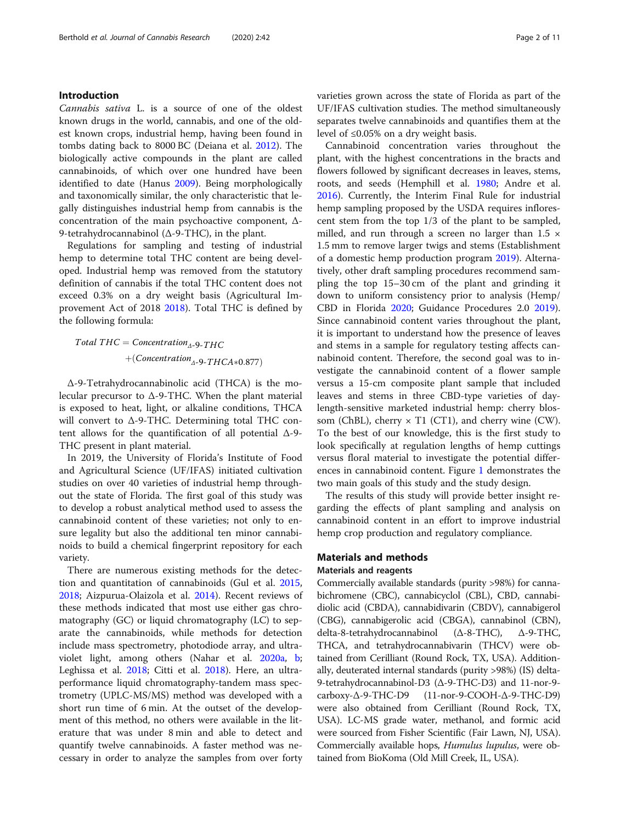## Introduction

Cannabis sativa L. is a source of one of the oldest known drugs in the world, cannabis, and one of the oldest known crops, industrial hemp, having been found in tombs dating back to 8000 BC (Deiana et al. [2012](#page-10-0)). The biologically active compounds in the plant are called cannabinoids, of which over one hundred have been identified to date (Hanus [2009\)](#page-10-0). Being morphologically and taxonomically similar, the only characteristic that legally distinguishes industrial hemp from cannabis is the concentration of the main psychoactive component, Δ-9-tetrahydrocannabinol (Δ-9-THC), in the plant.

Regulations for sampling and testing of industrial hemp to determine total THC content are being developed. Industrial hemp was removed from the statutory definition of cannabis if the total THC content does not exceed 0.3% on a dry weight basis (Agricultural Improvement Act of 2018 [2018\)](#page-10-0). Total THC is defined by the following formula:

$$
Total\ THC = \text{Concentration}_{\Delta-\Theta-\text{THC}} + (\text{Concentration}_{\Delta-\Theta-\text{THCA}*0.877})
$$

Δ-9-Tetrahydrocannabinolic acid (THCA) is the molecular precursor to  $\Delta$ -9-THC. When the plant material is exposed to heat, light, or alkaline conditions, THCA will convert to Δ-9-THC. Determining total THC content allows for the quantification of all potential  $\Delta$ -9-THC present in plant material.

In 2019, the University of Florida's Institute of Food and Agricultural Science (UF/IFAS) initiated cultivation studies on over 40 varieties of industrial hemp throughout the state of Florida. The first goal of this study was to develop a robust analytical method used to assess the cannabinoid content of these varieties; not only to ensure legality but also the additional ten minor cannabinoids to build a chemical fingerprint repository for each variety.

There are numerous existing methods for the detection and quantitation of cannabinoids (Gul et al. [2015](#page-10-0), [2018](#page-10-0); Aizpurua-Olaizola et al. [2014\)](#page-10-0). Recent reviews of these methods indicated that most use either gas chromatography (GC) or liquid chromatography (LC) to separate the cannabinoids, while methods for detection include mass spectrometry, photodiode array, and ultraviolet light, among others (Nahar et al. [2020a,](#page-10-0) [b](#page-10-0); Leghissa et al. [2018](#page-10-0); Citti et al. [2018\)](#page-10-0). Here, an ultraperformance liquid chromatography-tandem mass spectrometry (UPLC-MS/MS) method was developed with a short run time of 6 min. At the outset of the development of this method, no others were available in the literature that was under 8 min and able to detect and quantify twelve cannabinoids. A faster method was necessary in order to analyze the samples from over forty varieties grown across the state of Florida as part of the UF/IFAS cultivation studies. The method simultaneously separates twelve cannabinoids and quantifies them at the level of ≤0.05% on a dry weight basis.

Cannabinoid concentration varies throughout the plant, with the highest concentrations in the bracts and flowers followed by significant decreases in leaves, stems, roots, and seeds (Hemphill et al. [1980;](#page-10-0) Andre et al. [2016](#page-10-0)). Currently, the Interim Final Rule for industrial hemp sampling proposed by the USDA requires inflorescent stem from the top 1/3 of the plant to be sampled, milled, and run through a screen no larger than  $1.5 \times$ 1.5 mm to remove larger twigs and stems (Establishment of a domestic hemp production program [2019\)](#page-10-0). Alternatively, other draft sampling procedures recommend sampling the top 15–30 cm of the plant and grinding it down to uniform consistency prior to analysis (Hemp/ CBD in Florida [2020](#page-10-0); Guidance Procedures 2.0 [2019](#page-10-0)). Since cannabinoid content varies throughout the plant, it is important to understand how the presence of leaves and stems in a sample for regulatory testing affects cannabinoid content. Therefore, the second goal was to investigate the cannabinoid content of a flower sample versus a 15-cm composite plant sample that included leaves and stems in three CBD-type varieties of daylength-sensitive marketed industrial hemp: cherry blossom (ChBL), cherry  $\times$  T1 (CT1), and cherry wine (CW). To the best of our knowledge, this is the first study to look specifically at regulation lengths of hemp cuttings versus floral material to investigate the potential differences in cannabinoid content. Figure [1](#page-2-0) demonstrates the two main goals of this study and the study design.

The results of this study will provide better insight regarding the effects of plant sampling and analysis on cannabinoid content in an effort to improve industrial hemp crop production and regulatory compliance.

## Materials and methods Materials and reagents

Commercially available standards (purity >98%) for cannabichromene (CBC), cannabicyclol (CBL), CBD, cannabidiolic acid (CBDA), cannabidivarin (CBDV), cannabigerol (CBG), cannabigerolic acid (CBGA), cannabinol (CBN), delta-8-tetrahydrocannabinol (Δ-8-THC), Δ-9-THC, THCA, and tetrahydrocannabivarin (THCV) were obtained from Cerilliant (Round Rock, TX, USA). Additionally, deuterated internal standards (purity >98%) (IS) delta-9-tetrahydrocannabinol-D3 (Δ-9-THC-D3) and 11-nor-9 carboxy-Δ-9-THC-D9 (11-nor-9-COOH-Δ-9-THC-D9) were also obtained from Cerilliant (Round Rock, TX, USA). LC-MS grade water, methanol, and formic acid were sourced from Fisher Scientific (Fair Lawn, NJ, USA). Commercially available hops, Humulus lupulus, were obtained from BioKoma (Old Mill Creek, IL, USA).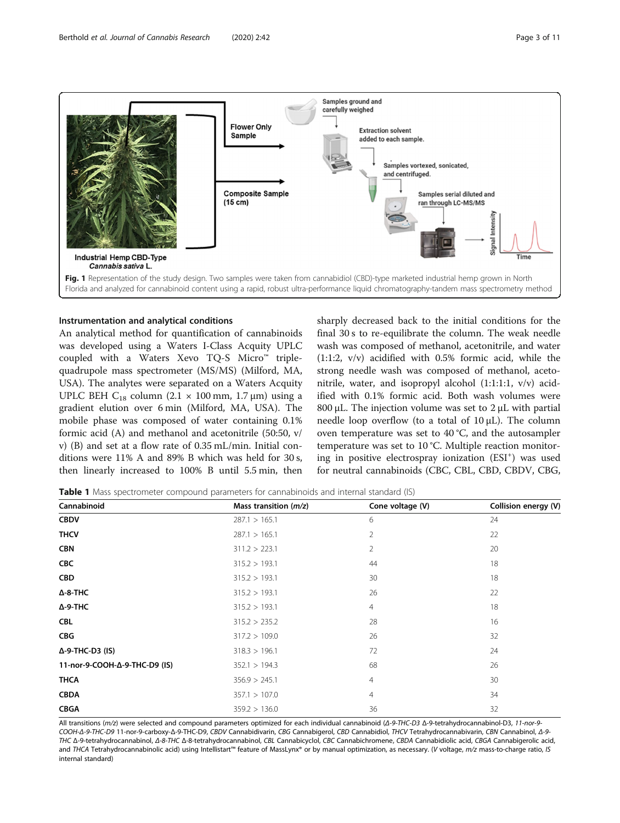

<span id="page-2-0"></span>

### Instrumentation and analytical conditions

An analytical method for quantification of cannabinoids was developed using a Waters I-Class Acquity UPLC coupled with a Waters Xevo TQ-S Micro™ triplequadrupole mass spectrometer (MS/MS) (Milford, MA, USA). The analytes were separated on a Waters Acquity UPLC BEH C<sub>18</sub> column (2.1  $\times$  100 mm, 1.7 µm) using a gradient elution over 6 min (Milford, MA, USA). The mobile phase was composed of water containing 0.1% formic acid (A) and methanol and acetonitrile (50:50, v/ v) (B) and set at a flow rate of 0.35 mL/min. Initial conditions were 11% A and 89% B which was held for 30 s, then linearly increased to 100% B until 5.5 min, then

sharply decreased back to the initial conditions for the final 30 s to re-equilibrate the column. The weak needle wash was composed of methanol, acetonitrile, and water (1:1:2, v/v) acidified with 0.5% formic acid, while the strong needle wash was composed of methanol, acetonitrile, water, and isopropyl alcohol (1:1:1:1, v/v) acidified with 0.1% formic acid. Both wash volumes were 800 μL. The injection volume was set to  $2$  μL with partial needle loop overflow (to a total of 10 μL). The column oven temperature was set to 40 °C, and the autosampler temperature was set to 10 °C. Multiple reaction monitoring in positive electrospray ionization (ESI<sup>+</sup>) was used for neutral cannabinoids (CBC, CBL, CBD, CBDV, CBG,

**Table 1** Mass spectrometer compound parameters for cannabinoids and internal standard (IS)

| Cannabinoid                   | Mass transition $(m/z)$ | Cone voltage (V) | Collision energy (V) |
|-------------------------------|-------------------------|------------------|----------------------|
| <b>CBDV</b>                   | 287.1 > 165.1           | 6                | 24                   |
| <b>THCV</b>                   | 287.1 > 165.1           | $\overline{2}$   | 22                   |
| <b>CBN</b>                    | 311.2 > 223.1           | $\overline{2}$   | 20                   |
| <b>CBC</b>                    | 315.2 > 193.1           | 44               | 18                   |
| <b>CBD</b>                    | 315.2 > 193.1           | 30               | 18                   |
| $\Delta$ -8-THC               | 315.2 > 193.1           | 26               | 22                   |
| $\Delta$ -9-THC               | 315.2 > 193.1           | 4                | 18                   |
| <b>CBL</b>                    | 315.2 > 235.2           | 28               | 16                   |
| <b>CBG</b>                    | 317.2 > 109.0           | 26               | 32                   |
| $\Delta$ -9-THC-D3 (IS)       | 318.3 > 196.1           | 72               | 24                   |
| 11-nor-9-COOH-Δ-9-THC-D9 (IS) | 352.1 > 194.3           | 68               | 26                   |
| <b>THCA</b>                   | 356.9 > 245.1           | $\overline{4}$   | 30                   |
| <b>CBDA</b>                   | 357.1 > 107.0           | $\overline{4}$   | 34                   |
| <b>CBGA</b>                   | 359.2 > 136.0           | 36               | 32                   |

All transitions (m/z) were selected and compound parameters optimized for each individual cannabinoid (Δ-9-THC-D3 Δ-9-tetrahydrocannabinol-D3, 11-nor-9- COOH-Δ-9-THC-D9 11-nor-9-carboxy-Δ-9-THC-D9, CBDV Cannabidivarin, CBG Cannabigerol, CBD Cannabidiol, THCV Tetrahydrocannabivarin, CBN Cannabinol, Δ-9- THC Δ-9-tetrahydrocannabinol, Δ-8-THC Δ-8-tetrahydrocannabinol, CBL Cannabicyclol, CBC Cannabichromene, CBDA Cannabidiolic acid, CBGA Cannabigerolic acid, and THCA Tetrahydrocannabinolic acid) using Intellistart™ feature of MassLynx® or by manual optimization, as necessary. (V voltage, m/z mass-to-charge ratio, IS internal standard)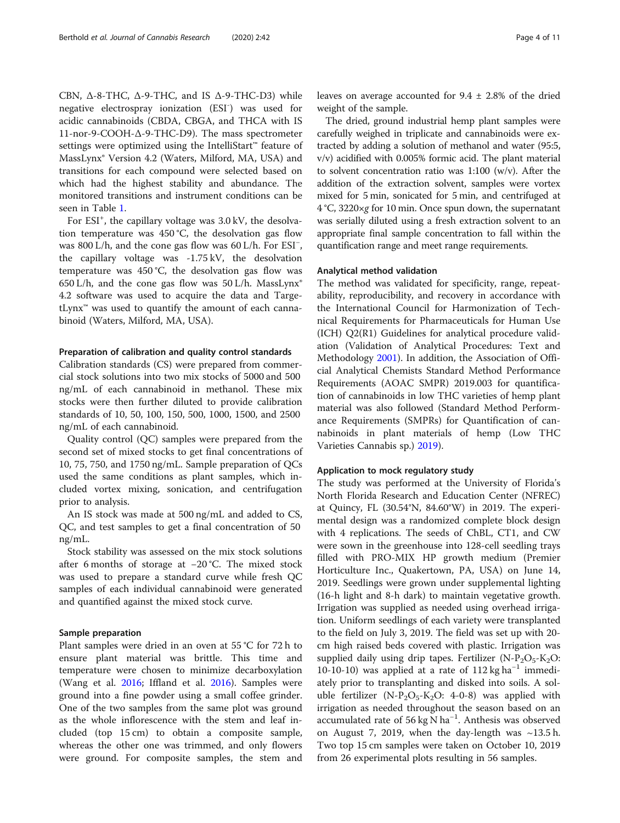CBN,  $Δ-8-THC$ ,  $Δ-9-THC$ , and IS  $Δ-9-THC-D3$ ) while negative electrospray ionization (ESI- ) was used for acidic cannabinoids (CBDA, CBGA, and THCA with IS 11-nor-9-COOH-Δ-9-THC-D9). The mass spectrometer settings were optimized using the IntelliStart™ feature of MassLynx® Version 4.2 (Waters, Milford, MA, USA) and transitions for each compound were selected based on which had the highest stability and abundance. The monitored transitions and instrument conditions can be seen in Table [1](#page-2-0).

For ESI<sup>+</sup>, the capillary voltage was 3.0 kV, the desolvation temperature was 450 °C, the desolvation gas flow was 800 L/h, and the cone gas flow was 60 L/h. For ESI<sup>−</sup> , the capillary voltage was -1.75 kV, the desolvation temperature was 450 °C, the desolvation gas flow was 650 L/h, and the cone gas flow was 50 L/h. MassLynx® 4.2 software was used to acquire the data and TargetLynx™ was used to quantify the amount of each cannabinoid (Waters, Milford, MA, USA).

#### Preparation of calibration and quality control standards

Calibration standards (CS) were prepared from commercial stock solutions into two mix stocks of 5000 and 500 ng/mL of each cannabinoid in methanol. These mix stocks were then further diluted to provide calibration standards of 10, 50, 100, 150, 500, 1000, 1500, and 2500 ng/mL of each cannabinoid.

Quality control (QC) samples were prepared from the second set of mixed stocks to get final concentrations of 10, 75, 750, and 1750 ng/mL. Sample preparation of QCs used the same conditions as plant samples, which included vortex mixing, sonication, and centrifugation prior to analysis.

An IS stock was made at 500 ng/mL and added to CS, QC, and test samples to get a final concentration of 50 ng/mL.

Stock stability was assessed on the mix stock solutions after 6 months of storage at −20 °C. The mixed stock was used to prepare a standard curve while fresh QC samples of each individual cannabinoid were generated and quantified against the mixed stock curve.

#### Sample preparation

Plant samples were dried in an oven at 55 °C for 72 h to ensure plant material was brittle. This time and temperature were chosen to minimize decarboxylation (Wang et al. [2016](#page-10-0); Iffland et al. [2016\)](#page-10-0). Samples were ground into a fine powder using a small coffee grinder. One of the two samples from the same plot was ground as the whole inflorescence with the stem and leaf included (top 15 cm) to obtain a composite sample, whereas the other one was trimmed, and only flowers were ground. For composite samples, the stem and leaves on average accounted for  $9.4 \pm 2.8\%$  of the dried weight of the sample.

The dried, ground industrial hemp plant samples were carefully weighed in triplicate and cannabinoids were extracted by adding a solution of methanol and water (95:5, v/v) acidified with 0.005% formic acid. The plant material to solvent concentration ratio was 1:100 (w/v). After the addition of the extraction solvent, samples were vortex mixed for 5 min, sonicated for 5 min, and centrifuged at 4 °C, 3220×g for 10 min. Once spun down, the supernatant was serially diluted using a fresh extraction solvent to an appropriate final sample concentration to fall within the quantification range and meet range requirements.

#### Analytical method validation

The method was validated for specificity, range, repeatability, reproducibility, and recovery in accordance with the International Council for Harmonization of Technical Requirements for Pharmaceuticals for Human Use (ICH) Q2(R1) Guidelines for analytical procedure validation (Validation of Analytical Procedures: Text and Methodology [2001\)](#page-10-0). In addition, the Association of Official Analytical Chemists Standard Method Performance Requirements (AOAC SMPR) 2019.003 for quantification of cannabinoids in low THC varieties of hemp plant material was also followed (Standard Method Performance Requirements (SMPRs) for Quantification of cannabinoids in plant materials of hemp (Low THC Varieties Cannabis sp.) [2019\)](#page-10-0).

#### Application to mock regulatory study

The study was performed at the University of Florida's North Florida Research and Education Center (NFREC) at Quincy, FL (30.54°N, 84.60°W) in 2019. The experimental design was a randomized complete block design with 4 replications. The seeds of ChBL, CT1, and CW were sown in the greenhouse into 128-cell seedling trays filled with PRO-MIX HP growth medium (Premier Horticulture Inc., Quakertown, PA, USA) on June 14, 2019. Seedlings were grown under supplemental lighting (16-h light and 8-h dark) to maintain vegetative growth. Irrigation was supplied as needed using overhead irrigation. Uniform seedlings of each variety were transplanted to the field on July 3, 2019. The field was set up with 20 cm high raised beds covered with plastic. Irrigation was supplied daily using drip tapes. Fertilizer (N- $P_2O_5$ -K<sub>2</sub>O: 10-10-10) was applied at a rate of 112 kg ha<sup>-1</sup> immediately prior to transplanting and disked into soils. A soluble fertilizer  $(N-P_2O_5-K_2O: 4-0-8)$  was applied with irrigation as needed throughout the season based on an accumulated rate of 56 kg N ha−<sup>1</sup> . Anthesis was observed on August 7, 2019, when the day-length was  $\sim$ 13.5 h. Two top 15 cm samples were taken on October 10, 2019 from 26 experimental plots resulting in 56 samples.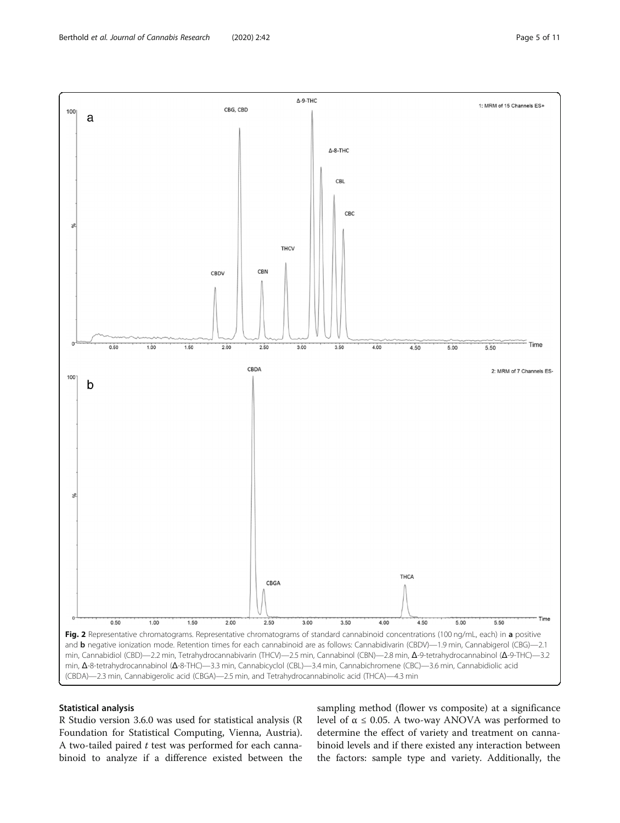<span id="page-4-0"></span>

### Statistical analysis

R Studio version 3.6.0 was used for statistical analysis (R Foundation for Statistical Computing, Vienna, Austria). A two-tailed paired  $t$  test was performed for each cannabinoid to analyze if a difference existed between the sampling method (flower vs composite) at a significance level of  $\alpha$  ≤ 0.05. A two-way ANOVA was performed to determine the effect of variety and treatment on cannabinoid levels and if there existed any interaction between the factors: sample type and variety. Additionally, the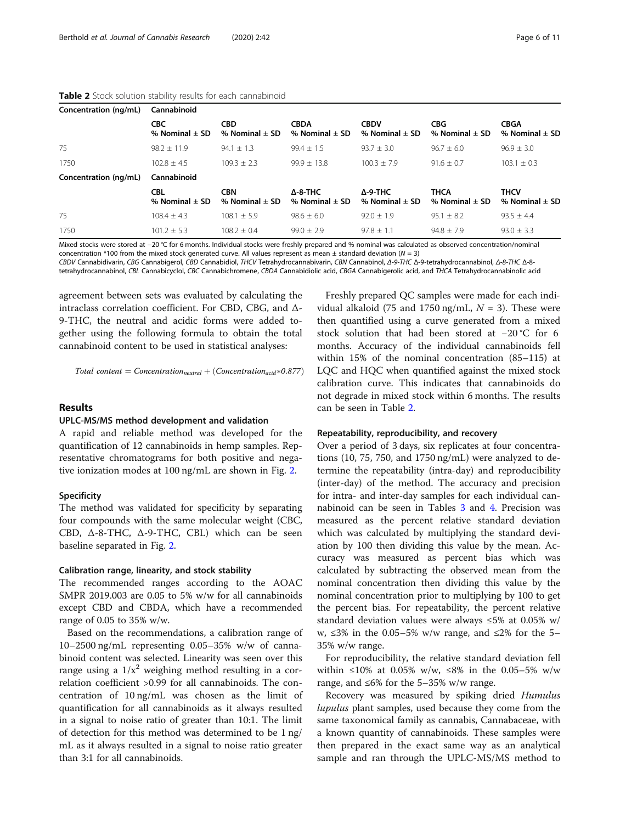| Concentration (ng/mL) | Cannabinoid                      |                                  |                                       |                                       |                                   |                                   |  |  |  |
|-----------------------|----------------------------------|----------------------------------|---------------------------------------|---------------------------------------|-----------------------------------|-----------------------------------|--|--|--|
|                       | <b>CBC</b><br>% Nominal $\pm$ SD | <b>CBD</b><br>% Nominal $\pm$ SD | <b>CBDA</b><br>% Nominal $\pm$ SD     | <b>CBDV</b><br>% Nominal $\pm$ SD     | <b>CBG</b><br>% Nominal $\pm$ SD  | <b>CBGA</b><br>% Nominal $\pm$ SD |  |  |  |
| 75                    | $98.2 + 11.9$                    | $94.1 \pm 1.3$                   | $99.4 + 1.5$                          | $93.7 + 3.0$                          | $96.7 + 6.0$                      | $96.9 + 3.0$                      |  |  |  |
| 1750                  | $102.8 + 4.5$                    | $109.3 + 2.3$                    | $99.9 + 13.8$                         | $100.3 + 7.9$                         | $91.6 + 0.7$                      | $103.1 + 0.3$                     |  |  |  |
| Concentration (ng/mL) | Cannabinoid                      |                                  |                                       |                                       |                                   |                                   |  |  |  |
|                       | <b>CBL</b><br>% Nominal $\pm$ SD | <b>CBN</b><br>% Nominal $\pm$ SD | $\Delta$ -8-THC<br>% Nominal $\pm$ SD | $\Delta$ -9-THC<br>% Nominal $\pm$ SD | <b>THCA</b><br>% Nominal $\pm$ SD | <b>THCV</b><br>% Nominal $\pm$ SD |  |  |  |
| 75                    | $108.4 + 4.3$                    | $108.1 + 5.9$                    | $98.6 + 6.0$                          | $92.0 + 1.9$                          | $95.1 + 8.2$                      | $93.5 + 4.4$                      |  |  |  |
| 1750                  | $101.2 + 5.3$                    | $108.2 + 0.4$                    | $99.0 + 2.9$                          | $97.8 + 1.1$                          | $94.8 + 7.9$                      | $93.0 + 3.3$                      |  |  |  |

#### Table 2 Stock solution stability results for each cannabinoid

Mixed stocks were stored at −20 °C for 6 months. Individual stocks were freshly prepared and % nominal was calculated as observed concentration/nominal concentration \*100 from the mixed stock generated curve. All values represent as mean  $\pm$  standard deviation ( $N = 3$ )

CBDV Cannabidivarin, CBG Cannabigerol, CBD Cannabidiol, THCV Tetrahydrocannabivarin, CBN Cannabinol, Δ-9-THC Δ-9-tetrahydrocannabinol, Δ-8-THC Δ-8 tetrahydrocannabinol, CBL Cannabicyclol, CBC Cannabichromene, CBDA Cannabidiolic acid, CBGA Cannabigerolic acid, and THCA Tetrahydrocannabinolic acid

agreement between sets was evaluated by calculating the intraclass correlation coefficient. For CBD, CBG, and Δ-9-THC, the neutral and acidic forms were added together using the following formula to obtain the total cannabinoid content to be used in statistical analyses:

Total content  $=$  Concentration<sub>neutral</sub>  $+$  (Concentration<sub>acid</sub>\*0.877)

#### Results

#### UPLC-MS/MS method development and validation

A rapid and reliable method was developed for the quantification of 12 cannabinoids in hemp samples. Representative chromatograms for both positive and negative ionization modes at 100 ng/mL are shown in Fig. [2](#page-4-0).

#### Specificity

The method was validated for specificity by separating four compounds with the same molecular weight (CBC, CBD, Δ-8-THC, Δ-9-THC, CBL) which can be seen baseline separated in Fig. [2](#page-4-0).

#### Calibration range, linearity, and stock stability

The recommended ranges according to the AOAC SMPR 2019.003 are 0.05 to 5% w/w for all cannabinoids except CBD and CBDA, which have a recommended range of 0.05 to 35% w/w.

Based on the recommendations, a calibration range of 10–2500 ng/mL representing 0.05–35% w/w of cannabinoid content was selected. Linearity was seen over this range using a  $1/x^2$  weighing method resulting in a correlation coefficient >0.99 for all cannabinoids. The concentration of 10 ng/mL was chosen as the limit of quantification for all cannabinoids as it always resulted in a signal to noise ratio of greater than 10:1. The limit of detection for this method was determined to be 1 ng/ mL as it always resulted in a signal to noise ratio greater than 3:1 for all cannabinoids.

Freshly prepared QC samples were made for each individual alkaloid (75 and 1750 ng/mL,  $N = 3$ ). These were then quantified using a curve generated from a mixed stock solution that had been stored at −20 °C for 6 months. Accuracy of the individual cannabinoids fell within 15% of the nominal concentration (85–115) at LQC and HQC when quantified against the mixed stock calibration curve. This indicates that cannabinoids do not degrade in mixed stock within 6 months. The results can be seen in Table 2.

#### Repeatability, reproducibility, and recovery

Over a period of 3 days, six replicates at four concentrations (10, 75, 750, and 1750 ng/mL) were analyzed to determine the repeatability (intra-day) and reproducibility (inter-day) of the method. The accuracy and precision for intra- and inter-day samples for each individual cannabinoid can be seen in Tables [3](#page-6-0) and [4.](#page-7-0) Precision was measured as the percent relative standard deviation which was calculated by multiplying the standard deviation by 100 then dividing this value by the mean. Accuracy was measured as percent bias which was calculated by subtracting the observed mean from the nominal concentration then dividing this value by the nominal concentration prior to multiplying by 100 to get the percent bias. For repeatability, the percent relative standard deviation values were always ≤5% at 0.05% w/ w, ≤3% in the 0.05–5% w/w range, and ≤2% for the 5– 35% w/w range.

For reproducibility, the relative standard deviation fell within ≤10% at 0.05% w/w, ≤8% in the 0.05–5% w/w range, and ≤6% for the 5-35% w/w range.

Recovery was measured by spiking dried *Humulus* lupulus plant samples, used because they come from the same taxonomical family as cannabis, Cannabaceae, with a known quantity of cannabinoids. These samples were then prepared in the exact same way as an analytical sample and ran through the UPLC-MS/MS method to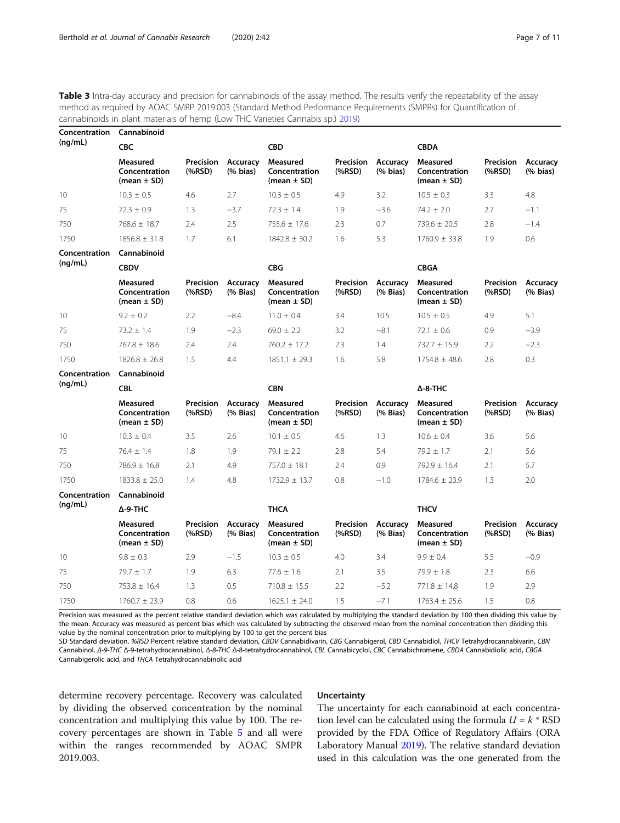Concentration Cannabinoid

<span id="page-6-0"></span>Table 3 Intra-day accuracy and precision for cannabinoids of the assay method. The results verify the repeatability of the assay method as required by AOAC SMRP 2019.003 (Standard Method Performance Requirements (SMPRs) for Quantification of cannabinoids in plant materials of hemp (Low THC Varieties Cannabis sp.) [2019](#page-10-0))

| Concentration | Cannabinoid                                  |                          |                                       |                                                     |                          |                      |                                              |                          |                                       |
|---------------|----------------------------------------------|--------------------------|---------------------------------------|-----------------------------------------------------|--------------------------|----------------------|----------------------------------------------|--------------------------|---------------------------------------|
| (ng/mL)       | CBC                                          |                          |                                       | <b>CBD</b>                                          |                          |                      | <b>CBDA</b>                                  |                          |                                       |
|               | Measured<br>Concentration<br>(mean $\pm$ SD) | Precision<br>$(%$ (%RSD) | Accuracy<br>$(% \mathbf{A})$ (% bias) | <b>Measured</b><br>Concentration<br>(mean $\pm$ SD) | Precision<br>$(%$ (%RSD) | Accuracy<br>(% bias) | Measured<br>Concentration<br>(mean $\pm$ SD) | Precision<br>$(%$ (%RSD) | Accuracy<br>$(% \mathbf{A})$ (% bias) |
| 10            | $10.3 + 0.5$                                 | 4.6                      | 2.7                                   | $10.3 + 0.5$                                        | 4.9                      | 3.2                  | $10.5 + 0.3$                                 | 3.3                      | 4.8                                   |
| 75            | $72.3 + 0.9$                                 | 1.3                      | $-3.7$                                | $72.3 + 1.4$                                        | 1.9                      | $-3.6$               | $74.2 + 2.0$                                 | 2.7                      | $-1.1$                                |
| 750           | $768.6 \pm 18.7$                             | 2.4                      | 2.5                                   | $755.6 + 17.6$                                      | 2.3                      | 0.7                  | $739.6 + 20.5$                               | 2.8                      | $-1.4$                                |
| 1750          | $1856.8 + 31.8$                              | 1.7                      | 6.1                                   | $1842.8 + 30.2$                                     | 1.6                      | 5.3                  | $1760.9 + 33.8$                              | 1.9                      | 0.6                                   |
| Concentration | Cannabinoid                                  |                          |                                       |                                                     |                          |                      |                                              |                          |                                       |

| (nq/mL) | <b>CBDV</b>                                  |                          |                                                                                                                                                                                                                                                                                                                                                   | <b>CBG</b>                                   |                          |                                     | <b>CBGA</b>                                  |                          |                           |
|---------|----------------------------------------------|--------------------------|---------------------------------------------------------------------------------------------------------------------------------------------------------------------------------------------------------------------------------------------------------------------------------------------------------------------------------------------------|----------------------------------------------|--------------------------|-------------------------------------|----------------------------------------------|--------------------------|---------------------------|
|         | Measured<br>Concentration<br>(mean $\pm$ SD) | Precision<br>$(%$ (%RSD) | Accuracy<br>$(% \mathbf{A})$ $\mathbf{B}$ $\mathbf{A}$ $\mathbf{B}$ $\mathbf{A}$ $\mathbf{B}$ $\mathbf{A}$ $\mathbf{B}$ $\mathbf{A}$ $\mathbf{B}$ $\mathbf{A}$ $\mathbf{B}$ $\mathbf{A}$ $\mathbf{B}$ $\mathbf{B}$ $\mathbf{B}$ $\mathbf{B}$ $\mathbf{B}$ $\mathbf{B}$ $\mathbf{B}$ $\mathbf{B}$ $\mathbf{B}$ $\mathbf{B}$ $\mathbf{B}$ $\mathbf$ | Measured<br>Concentration<br>(mean $\pm$ SD) | Precision<br>$(%$ (%RSD) | Accuracy<br>$(%$ $\mathbb{R}$ Bias) | Measured<br>Concentration<br>(mean $\pm$ SD) | Precision<br>$(%$ (%RSD) | Accuracy<br>$(%$ (% Bias) |
| 10      | $9.2 + 0.2$                                  | 2.2                      | $-8.4$                                                                                                                                                                                                                                                                                                                                            | $11.0 + 0.4$                                 | 3.4                      | 10.5                                | $10.5 + 0.5$                                 | 4.9                      | 5.1                       |
| 75      | $73.2 + 1.4$                                 | 1.9                      | $-2.3$                                                                                                                                                                                                                                                                                                                                            | $69.0 + 2.2$                                 | 3.2                      | $-8.1$                              | $72.1 + 0.6$                                 | 0.9                      | $-3.9$                    |
| 750     | $767.8 + 18.6$                               | 2.4                      | 2.4                                                                                                                                                                                                                                                                                                                                               | $760.2 + 17.2$                               | 2.3                      | $\overline{1.4}$                    | $732.7 + 15.9$                               | 2.2                      | $-2.3$                    |
| 1750    | $1826.8 \pm 26.8$                            | 1.5                      | 4.4                                                                                                                                                                                                                                                                                                                                               | 1851 1 + 293                                 | 1.6                      | 5.8                                 | $1754.8 + 48.6$                              | 2.8                      | 0.3                       |

| (nq/mL) | CBL                                          |                     |                      | <b>CBN</b>                                   |                          |                      | $\Delta$ -8-THC                              |                          |                           |
|---------|----------------------------------------------|---------------------|----------------------|----------------------------------------------|--------------------------|----------------------|----------------------------------------------|--------------------------|---------------------------|
|         | Measured<br>Concentration<br>(mean $\pm$ SD) | Precision<br>(%RSD) | Accuracy<br>(% Bias) | Measured<br>Concentration<br>(mean $\pm$ SD) | Precision<br>$(%$ (%RSD) | Accuracy<br>(% Bias) | Measured<br>Concentration<br>(mean $\pm$ SD) | Precision<br>$(%$ (%RSD) | Accuracy<br>$(%$ (% Bias) |
| 10      | $10.3 + 0.4$                                 | 3.5                 | 2.6                  | $10.1 + 0.5$                                 | 4.6                      | 1.3                  | $10.6 + 0.4$                                 | 3.6                      | 5.6                       |
| 75      | $76.4 + 1.4$                                 | 1.8                 | .9                   | $79.1 + 2.2$                                 | 2.8                      | 5.4                  | $79.2 + 1.7$                                 | 2.1                      | 5.6                       |
| 750     | $786.9 + 16.8$                               | 2.1                 | 4.9                  | $757.0 + 18.1$                               | 2.4                      | 0.9                  | $792.9 + 16.4$                               | 2.1                      | 5.7                       |
| 1750    | $1833.8 \pm 25.0$                            | 1.4                 | 4.8                  | $732.9 + 13.7$                               | 0.8                      | $-1.0$               | 1784.6 + 23.9                                | l 3                      | 2.0                       |

| Concentration | Cannabinoid                                         |                          |                      |                                              |                          |                                     |                                              |                          |                                                                                                                                                                                                                                                                                                                                                   |
|---------------|-----------------------------------------------------|--------------------------|----------------------|----------------------------------------------|--------------------------|-------------------------------------|----------------------------------------------|--------------------------|---------------------------------------------------------------------------------------------------------------------------------------------------------------------------------------------------------------------------------------------------------------------------------------------------------------------------------------------------|
| (nq/mL)       | Δ-9-THC                                             |                          |                      | THCA                                         |                          |                                     | <b>THCV</b>                                  |                          |                                                                                                                                                                                                                                                                                                                                                   |
|               | <b>Measured</b><br>Concentration<br>(mean $\pm$ SD) | Precision<br>$(%$ (%RSD) | Accuracy<br>(% Bias) | Measured<br>Concentration<br>(mean $\pm$ SD) | Precision<br>$(%$ (%RSD) | Accuracy<br>$(%$ $\mathbb{R}$ Bias) | Measured<br>Concentration<br>(mean $\pm$ SD) | Precision<br>$(%$ (%RSD) | Accuracy<br>$(% \mathbf{A})$ $\mathbf{B}$ $\mathbf{A}$ $\mathbf{B}$ $\mathbf{A}$ $\mathbf{B}$ $\mathbf{A}$ $\mathbf{B}$ $\mathbf{A}$ $\mathbf{B}$ $\mathbf{A}$ $\mathbf{B}$ $\mathbf{A}$ $\mathbf{B}$ $\mathbf{B}$ $\mathbf{B}$ $\mathbf{A}$ $\mathbf{B}$ $\mathbf{B}$ $\mathbf{B}$ $\mathbf{B}$ $\mathbf{B}$ $\mathbf{B}$ $\mathbf{B}$ $\mathbf$ |
| 10            | $9.8 + 0.3$                                         | 2.9                      | $-1.5$               | $10.3 + 0.5$                                 | 4.0                      | 3.4                                 | $9.9 + 0.4$                                  | 5.5                      | $-0.9$                                                                                                                                                                                                                                                                                                                                            |
| 75            | $79.7 + 1.7$                                        | 1.9                      | 6.3                  | $77.6 + 1.6$                                 | 2.1                      | 3.5                                 | $79.9 + 1.8$                                 | 2.3                      | 6.6                                                                                                                                                                                                                                                                                                                                               |
| 750           | $753.8 + 16.4$                                      | 1.3                      | 0.5                  | $710.8 + 15.5$                               | 2.2                      | $-5.2$                              | $771.8 + 14.8$                               | 1.9                      | 2.9                                                                                                                                                                                                                                                                                                                                               |
| 1750          | $1760.7 \pm 23.9$                                   | 0.8                      | 0.6                  | $1625.1 \pm 24.0$                            | .5                       | $-7.1$                              | $1763.4 + 25.6$                              | 1.5                      | 0.8                                                                                                                                                                                                                                                                                                                                               |

Precision was measured as the percent relative standard deviation which was calculated by multiplying the standard deviation by 100 then dividing this value by the mean. Accuracy was measured as percent bias which was calculated by subtracting the observed mean from the nominal concentration then dividing this value by the nominal concentration prior to multiplying by 100 to get the percent bias

SD Standard deviation, %RSD Percent relative standard deviation, CBDV Cannabidivarin, CBG Cannabigerol, CBD Cannabidiol, THCV Tetrahydrocannabivarin, CBN Cannabinol, Δ-9-THC Δ-9-tetrahydrocannabinol, Δ-8-THC Δ-8-tetrahydrocannabinol, CBL Cannabicyclol, CBC Cannabichromene, CBDA Cannabidiolic acid, CBGA Cannabigerolic acid, and THCA Tetrahydrocannabinolic acid

determine recovery percentage. Recovery was calculated by dividing the observed concentration by the nominal concentration and multiplying this value by 100. The recovery percentages are shown in Table [5](#page-8-0) and all were within the ranges recommended by AOAC SMPR 2019.003.

#### **Uncertainty**

The uncertainty for each cannabinoid at each concentration level can be calculated using the formula  $U = k * RSD$ provided by the FDA Office of Regulatory Affairs (ORA Laboratory Manual [2019\)](#page-10-0). The relative standard deviation used in this calculation was the one generated from the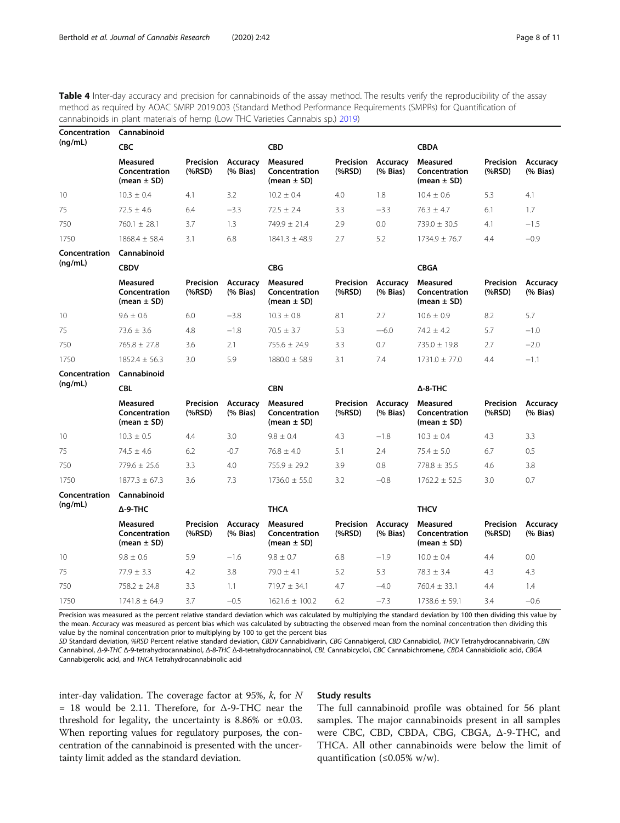<span id="page-7-0"></span>Table 4 Inter-day accuracy and precision for cannabinoids of the assay method. The results verify the reproducibility of the assay method as required by AOAC SMRP 2019.003 (Standard Method Performance Requirements (SMPRs) for Quantification of cannabinoids in plant materials of hemp (Low THC Varieties Cannabis sp.) [2019](#page-10-0))

| Concentration | Cannabinoid                                         |                          |                                                    |                                                     |                          |                                     |                                                     |                                 |                                             |  |  |
|---------------|-----------------------------------------------------|--------------------------|----------------------------------------------------|-----------------------------------------------------|--------------------------|-------------------------------------|-----------------------------------------------------|---------------------------------|---------------------------------------------|--|--|
| (nq/mL)       | <b>CBC</b>                                          |                          |                                                    | <b>CBD</b>                                          |                          |                                     | <b>CBDA</b>                                         |                                 |                                             |  |  |
|               | <b>Measured</b><br>Concentration<br>(mean $\pm$ SD) | Precision<br>$(%$ (%RSD) | <b>Accuracy</b><br>$(% \mathbf{A})$ $($ % Bias $)$ | <b>Measured</b><br>Concentration<br>(mean $\pm$ SD) | Precision<br>$(%$ (%RSD) | Accuracy<br>$(%$ (% Bias)           | <b>Measured</b><br>Concentration<br>(mean $\pm$ SD) | Precision<br>(%RSD)             | Accuracy<br>$(% \mathbf{A})$ $($ % Bias $)$ |  |  |
| 10            | $10.3 \pm 0.4$                                      | 4.1                      | 3.2                                                | $10.2 \pm 0.4$                                      | 4.0                      | 1.8                                 | $10.4 \pm 0.6$                                      | 5.3                             | 4.1                                         |  |  |
| 75            | $72.5 \pm 4.6$                                      | 6.4                      | $-3.3$                                             | $72.5 \pm 2.4$                                      | 3.3                      | $-3.3$                              | $76.3 \pm 4.7$                                      | 6.1                             | 1.7                                         |  |  |
| 750           | $760.1 \pm 28.1$                                    | 3.7                      | 1.3                                                | 749.9 ± 21.4                                        | 2.9                      | 0.0                                 | $739.0 \pm 30.5$                                    | 4.1                             | $-1.5$                                      |  |  |
| 1750          | $1868.4 \pm 58.4$                                   | 3.1                      | 6.8                                                | $1841.3 \pm 48.9$                                   | 2.7                      | 5.2                                 | $1734.9 \pm 76.7$                                   | 4.4                             | $-0.9$                                      |  |  |
| Concentration | Cannabinoid                                         |                          |                                                    |                                                     |                          |                                     |                                                     |                                 |                                             |  |  |
| (nq/mL)       | <b>CBDV</b>                                         |                          |                                                    | <b>CBG</b>                                          |                          |                                     | <b>CBGA</b>                                         |                                 |                                             |  |  |
|               | Measured<br>Concentration<br>(mean $\pm$ SD)        | Precision<br>$(%$ (%RSD) | Accuracy<br>$(%$ $\mathbb{R}$ Bias)                | <b>Measured</b><br>Concentration<br>(mean $\pm$ SD) | Precision<br>$(%$ (%RSD) | Accuracy<br>$(%$ $\mathbb{R}$ Bias) | <b>Measured</b><br>Concentration<br>(mean $\pm$ SD) | <b>Precision</b><br>$(%$ (%RSD) | Accuracy<br>(% Bias)                        |  |  |
| 10            | $9.6 \pm 0.6$                                       | 6.0                      | $-3.8$                                             | $10.3 \pm 0.8$                                      | 8.1                      | 2.7                                 | $10.6 \pm 0.9$                                      | 8.2                             | 5.7                                         |  |  |
| 75            | $73.6 \pm 3.6$                                      | 4.8                      | $-1.8$                                             | $70.5 \pm 3.7$                                      | 5.3                      | $-6.0$                              | $74.2 \pm 4.2$                                      | 5.7                             | $-1.0$                                      |  |  |
| 750           | $765.8 \pm 27.8$                                    | 3.6                      | 2.1                                                | $755.6 \pm 24.9$                                    | 3.3                      | 0.7                                 | 735.0 ± 19.8                                        | 2.7                             | $-2.0$                                      |  |  |
| 1750          | $1852.4 \pm 56.3$                                   | 3.0                      | 5.9                                                | $1880.0 \pm 58.9$                                   | 3.1                      | 7.4                                 | $1731.0 \pm 77.0$                                   | 4.4                             | $-1.1$                                      |  |  |
| Concentration | Cannabinoid                                         |                          |                                                    |                                                     |                          |                                     |                                                     |                                 |                                             |  |  |
| (nq/mL)       | <b>CBL</b>                                          |                          |                                                    | <b>CBN</b>                                          |                          |                                     | $\Delta$ -8-THC                                     |                                 |                                             |  |  |
|               | <b>Measured</b><br>Concentration<br>(mean $\pm$ SD) | Precision<br>(%RSD)      | Accuracy<br>(% Bias)                               | <b>Measured</b><br>Concentration<br>(mean $\pm$ SD) | Precision<br>(%RSD)      | Accuracy<br>(% Bias)                | <b>Measured</b><br>Concentration<br>(mean $\pm$ SD) | Precision<br>(%RSD)             | Accuracy<br>(% Bias)                        |  |  |
| 10            | $10.3 \pm 0.5$                                      | 4.4                      | 3.0                                                | $9.8 \pm 0.4$                                       | 4.3                      | $-1.8$                              | $10.3 \pm 0.4$                                      | 4.3                             | 3.3                                         |  |  |
| 75            | $74.5 \pm 4.6$                                      | 6.2                      | $-0.7$                                             | $76.8 \pm 4.0$                                      | 5.1                      | 2.4                                 | $75.4 \pm 5.0$                                      | 6.7                             | 0.5                                         |  |  |
| 750           | $779.6 \pm 25.6$                                    | 3.3                      | 4.0                                                | $755.9 \pm 29.2$                                    | 3.9                      | 0.8                                 | $778.8 \pm 35.5$                                    | 4.6                             | 3.8                                         |  |  |
| 1750          | $1877.3 + 67.3$                                     | 3.6                      | 7.3                                                | $1736.0 \pm 55.0$                                   | 3.2                      | $-0.8$                              | $1762.2 \pm 52.5$                                   | 3.0                             | 0.7                                         |  |  |
| Concentration | Cannabinoid                                         |                          |                                                    |                                                     |                          |                                     |                                                     |                                 |                                             |  |  |
| (nq/mL)       | $\Delta$ -9-THC                                     |                          |                                                    | <b>THCA</b>                                         |                          |                                     | <b>THCV</b>                                         |                                 |                                             |  |  |
|               | Measured<br>Concentration<br>(mean $\pm$ SD)        | Precision<br>$(%$ (%RSD) | Accuracy<br>$(% \mathbf{A})$ $($ % Bias $)$        | <b>Measured</b><br>Concentration<br>(mean $\pm$ SD) | Precision<br>(%RSD)      | Accuracy<br>$(%$ (% Bias)           | <b>Measured</b><br>Concentration<br>(mean $\pm$ SD) | <b>Precision</b><br>(%RSD)      | Accuracy<br>$(%$ (% Bias)                   |  |  |
| 10            | $9.8 \pm 0.6$                                       | 5.9                      | $-1.6$                                             | $9.8 \pm 0.7$                                       | 6.8                      | $-1.9$                              | $10.0 \pm 0.4$                                      | 4.4                             | 0.0                                         |  |  |
| 75            | $77.9 \pm 3.3$                                      | 4.2                      | 3.8                                                | $79.0 \pm 4.1$                                      | 5.2                      | 5.3                                 | $78.3 \pm 3.4$                                      | 4.3                             | 4.3                                         |  |  |
| 750           | $758.2 \pm 24.8$                                    | 3.3                      | 1.1                                                | $719.7 \pm 34.1$                                    | 4.7                      | $-4.0$                              | $760.4 \pm 33.1$                                    | 4.4                             | 1.4                                         |  |  |
| 1750          | $1741.8 \pm 64.9$                                   | 3.7                      | $-0.5$                                             | $1621.6 \pm 100.2$                                  | 6.2                      | $-7.3$                              | $1738.6 \pm 59.1$                                   | 3.4                             | $-0.6$                                      |  |  |

Precision was measured as the percent relative standard deviation which was calculated by multiplying the standard deviation by 100 then dividing this value by the mean. Accuracy was measured as percent bias which was calculated by subtracting the observed mean from the nominal concentration then dividing this value by the nominal concentration prior to multiplying by 100 to get the percent bias

SD Standard deviation, %RSD Percent relative standard deviation, CBDV Cannabidivarin, CBG Cannabigerol, CBD Cannabidiol, THCV Tetrahydrocannabivarin, CBN Cannabinol, Δ-9-THC Δ-9-tetrahydrocannabinol, Δ-8-THC Δ-8-tetrahydrocannabinol, CBL Cannabicyclol, CBC Cannabichromene, CBDA Cannabidiolic acid, CBGA Cannabigerolic acid, and THCA Tetrahydrocannabinolic acid

inter-day validation. The coverage factor at 95%,  $k$ , for  $N$  $= 18$  would be 2.11. Therefore, for  $\Delta$ -9-THC near the threshold for legality, the uncertainty is 8.86% or  $\pm 0.03$ . When reporting values for regulatory purposes, the concentration of the cannabinoid is presented with the uncertainty limit added as the standard deviation.

#### Study results

The full cannabinoid profile was obtained for 56 plant samples. The major cannabinoids present in all samples were CBC, CBD, CBDA, CBG, CBGA, Δ-9-THC, and THCA. All other cannabinoids were below the limit of quantification (≤0.05% w/w).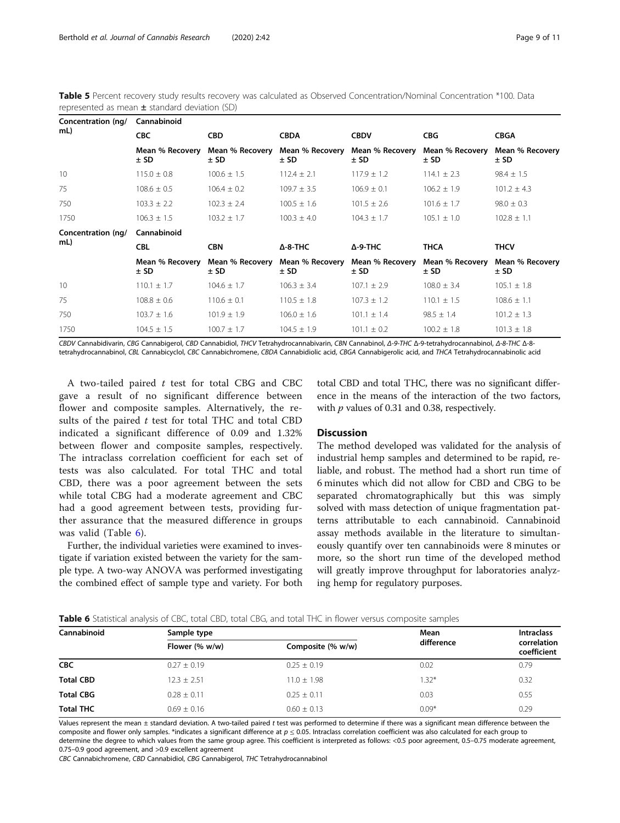<span id="page-8-0"></span>Table 5 Percent recovery study results recovery was calculated as Observed Concentration/Nominal Concentration \*100. Data represented as mean  $\pm$  standard deviation (SD)

| Cannabinoid<br>Concentration (ng/ |                           |                           |                           |                           |                           |  |  |  |  |
|-----------------------------------|---------------------------|---------------------------|---------------------------|---------------------------|---------------------------|--|--|--|--|
| <b>CBC</b>                        | <b>CBD</b>                | <b>CBDA</b>               | <b>CBDV</b>               | <b>CBG</b>                | <b>CBGA</b>               |  |  |  |  |
| Mean % Recovery<br>$±$ SD         | Mean % Recovery<br>$±$ SD | Mean % Recovery<br>± SD   | Mean % Recovery<br>$±$ SD | Mean % Recovery<br>$±$ SD | Mean % Recovery<br>$±$ SD |  |  |  |  |
| $115.0 \pm 0.8$                   | $100.6 \pm 1.5$           | $112.4 \pm 2.1$           | $117.9 \pm 1.2$           | $114.1 \pm 2.3$           | $98.4 \pm 1.5$            |  |  |  |  |
| $108.6 \pm 0.5$                   | $106.4 \pm 0.2$           | $109.7 \pm 3.5$           | $106.9 \pm 0.1$           | $106.2 \pm 1.9$           | $101.2 \pm 4.3$           |  |  |  |  |
| $103.3 \pm 2.2$                   | $102.3 \pm 2.4$           | $100.5 \pm 1.6$           | $101.5 \pm 2.6$           | $101.6 \pm 1.7$           | $98.0 \pm 0.3$            |  |  |  |  |
| $106.3 \pm 1.5$                   | $103.2 \pm 1.7$           | $100.3 \pm 4.0$           | $104.3 \pm 1.7$           | $105.1 \pm 1.0$           | $102.8 \pm 1.1$           |  |  |  |  |
| Cannabinoid                       |                           |                           |                           |                           |                           |  |  |  |  |
| <b>CBL</b>                        | <b>CBN</b>                | $\Delta$ -8-THC           | $\Delta$ -9-THC           | THCA                      | <b>THCV</b>               |  |  |  |  |
| Mean % Recovery<br>$±$ SD         | Mean % Recovery<br>$±$ SD | Mean % Recovery<br>$±$ SD | Mean % Recovery<br>$±$ SD | Mean % Recovery<br>$±$ SD | Mean % Recovery<br>± SD   |  |  |  |  |
| $110.1 \pm 1.7$                   | $104.6 \pm 1.7$           | $106.3 \pm 3.4$           | $107.1 \pm 2.9$           | $108.0 \pm 3.4$           | $105.1 \pm 1.8$           |  |  |  |  |
| $108.8 \pm 0.6$                   | $110.6 \pm 0.1$           | $110.5 \pm 1.8$           | $107.3 \pm 1.2$           | $110.1 \pm 1.5$           | $108.6 \pm 1.1$           |  |  |  |  |
| $103.7 \pm 1.6$                   | $101.9 \pm 1.9$           | $106.0 \pm 1.6$           | $101.1 \pm 1.4$           | $98.5 \pm 1.4$            | $101.2 \pm 1.3$           |  |  |  |  |
| $104.5 \pm 1.5$                   | $100.7 \pm 1.7$           | $104.5 \pm 1.9$           | $101.1 \pm 0.2$           | $100.2 \pm 1.8$           | $101.3 \pm 1.8$           |  |  |  |  |
|                                   |                           |                           |                           |                           |                           |  |  |  |  |

CBDV Cannabidivarin, CBG Cannabigerol, CBD Cannabidiol, THCV Tetrahydrocannabivarin, CBN Cannabinol, Δ-9-THC Δ-9-tetrahydrocannabinol, Δ-8-THC Δ-8 tetrahydrocannabinol, CBL Cannabicyclol, CBC Cannabichromene, CBDA Cannabidiolic acid, CBGA Cannabigerolic acid, and THCA Tetrahydrocannabinolic acid

A two-tailed paired  $t$  test for total CBG and CBC gave a result of no significant difference between flower and composite samples. Alternatively, the results of the paired  $t$  test for total THC and total CBD indicated a significant difference of 0.09 and 1.32% between flower and composite samples, respectively. The intraclass correlation coefficient for each set of tests was also calculated. For total THC and total CBD, there was a poor agreement between the sets while total CBG had a moderate agreement and CBC had a good agreement between tests, providing further assurance that the measured difference in groups was valid (Table 6).

Further, the individual varieties were examined to investigate if variation existed between the variety for the sample type. A two-way ANOVA was performed investigating the combined effect of sample type and variety. For both

total CBD and total THC, there was no significant difference in the means of the interaction of the two factors, with  $p$  values of 0.31 and 0.38, respectively.

#### **Discussion**

The method developed was validated for the analysis of industrial hemp samples and determined to be rapid, reliable, and robust. The method had a short run time of 6 minutes which did not allow for CBD and CBG to be separated chromatographically but this was simply solved with mass detection of unique fragmentation patterns attributable to each cannabinoid. Cannabinoid assay methods available in the literature to simultaneously quantify over ten cannabinoids were 8 minutes or more, so the short run time of the developed method will greatly improve throughput for laboratories analyzing hemp for regulatory purposes.

| Sample type     |                   | Mean    | <b>Intraclass</b>          |  |
|-----------------|-------------------|---------|----------------------------|--|
| Flower (% w/w)  | Composite (% w/w) |         | correlation<br>coefficient |  |
| $0.27 \pm 0.19$ | $0.25 \pm 0.19$   | 0.02    | 0.79                       |  |
| $12.3 \pm 2.51$ | $11.0 \pm 1.98$   | $1.32*$ | 0.32                       |  |
| $0.28 + 0.11$   | $0.25 + 0.11$     | 0.03    | 0.55                       |  |
| $0.69 + 0.16$   | $0.60 + 0.13$     | $0.09*$ | 0.29                       |  |
|                 |                   |         | difference                 |  |

Values represent the mean ± standard deviation. A two-tailed paired t test was performed to determine if there was a significant mean difference between the composite and flower only samples. \*indicates a significant difference at  $p \le 0.05$ . Intraclass correlation coefficient was also calculated for each group to determine the degree to which values from the same group agree. This coefficient is interpreted as follows: <0.5 poor agreement, 0.5–0.75 moderate agreement, 0.75–0.9 good agreement, and >0.9 excellent agreement

CBC Cannabichromene, CBD Cannabidiol, CBG Cannabigerol, THC Tetrahydrocannabinol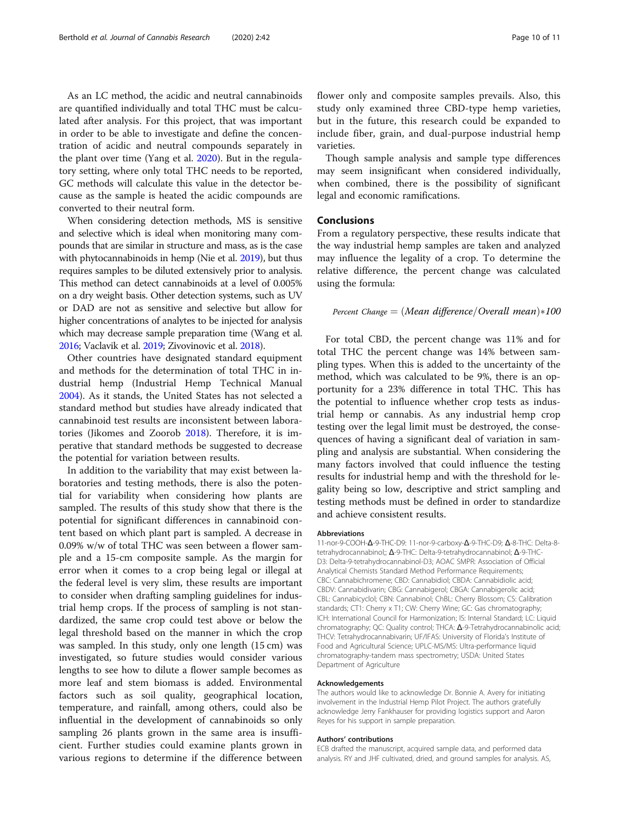As an LC method, the acidic and neutral cannabinoids are quantified individually and total THC must be calculated after analysis. For this project, that was important in order to be able to investigate and define the concentration of acidic and neutral compounds separately in the plant over time (Yang et al. [2020\)](#page-10-0). But in the regulatory setting, where only total THC needs to be reported, GC methods will calculate this value in the detector because as the sample is heated the acidic compounds are converted to their neutral form.

When considering detection methods, MS is sensitive and selective which is ideal when monitoring many compounds that are similar in structure and mass, as is the case with phytocannabinoids in hemp (Nie et al. [2019\)](#page-10-0), but thus requires samples to be diluted extensively prior to analysis. This method can detect cannabinoids at a level of 0.005% on a dry weight basis. Other detection systems, such as UV or DAD are not as sensitive and selective but allow for higher concentrations of analytes to be injected for analysis which may decrease sample preparation time (Wang et al. [2016;](#page-10-0) Vaclavik et al. [2019;](#page-10-0) Zivovinovic et al. [2018\)](#page-10-0).

Other countries have designated standard equipment and methods for the determination of total THC in industrial hemp (Industrial Hemp Technical Manual [2004](#page-10-0)). As it stands, the United States has not selected a standard method but studies have already indicated that cannabinoid test results are inconsistent between laboratories (Jikomes and Zoorob [2018\)](#page-10-0). Therefore, it is imperative that standard methods be suggested to decrease the potential for variation between results.

In addition to the variability that may exist between laboratories and testing methods, there is also the potential for variability when considering how plants are sampled. The results of this study show that there is the potential for significant differences in cannabinoid content based on which plant part is sampled. A decrease in 0.09% w/w of total THC was seen between a flower sample and a 15-cm composite sample. As the margin for error when it comes to a crop being legal or illegal at the federal level is very slim, these results are important to consider when drafting sampling guidelines for industrial hemp crops. If the process of sampling is not standardized, the same crop could test above or below the legal threshold based on the manner in which the crop was sampled. In this study, only one length (15 cm) was investigated, so future studies would consider various lengths to see how to dilute a flower sample becomes as more leaf and stem biomass is added. Environmental factors such as soil quality, geographical location, temperature, and rainfall, among others, could also be influential in the development of cannabinoids so only sampling 26 plants grown in the same area is insufficient. Further studies could examine plants grown in various regions to determine if the difference between flower only and composite samples prevails. Also, this study only examined three CBD-type hemp varieties, but in the future, this research could be expanded to include fiber, grain, and dual-purpose industrial hemp varieties.

Though sample analysis and sample type differences may seem insignificant when considered individually, when combined, there is the possibility of significant legal and economic ramifications.

#### **Conclusions**

From a regulatory perspective, these results indicate that the way industrial hemp samples are taken and analyzed may influence the legality of a crop. To determine the relative difference, the percent change was calculated using the formula:

# Percent Change  $=$   $(Mean$  difference/Overall mean $)*100$

For total CBD, the percent change was 11% and for total THC the percent change was 14% between sampling types. When this is added to the uncertainty of the method, which was calculated to be 9%, there is an opportunity for a 23% difference in total THC. This has the potential to influence whether crop tests as industrial hemp or cannabis. As any industrial hemp crop testing over the legal limit must be destroyed, the consequences of having a significant deal of variation in sampling and analysis are substantial. When considering the many factors involved that could influence the testing results for industrial hemp and with the threshold for legality being so low, descriptive and strict sampling and testing methods must be defined in order to standardize and achieve consistent results.

#### Abbreviations

11-nor-9-COOH-Δ-9-THC-D9: 11-nor-9-carboxy-Δ-9-THC-D9; Δ-8-THC: Delta-8 tetrahydrocannabinol;; Δ-9-THC: Delta-9-tetrahydrocannabinol; Δ-9-THC-D3: Delta-9-tetrahydrocannabinol-D3; AOAC SMPR: Association of Official Analytical Chemists Standard Method Performance Requirements; CBC: Cannabichromene; CBD: Cannabidiol; CBDA: Cannabidiolic acid; CBDV: Cannabidivarin; CBG: Cannabigerol; CBGA: Cannabigerolic acid; CBL: Cannabicyclol; CBN: Cannabinol; ChBL: Cherry Blossom; CS: Calibration standards; CT1: Cherry x T1; CW: Cherry Wine; GC: Gas chromatography; ICH: International Council for Harmonization; IS: Internal Standard; LC: Liquid chromatography; QC: Quality control; THCA: Δ-9-Tetrahydrocannabinolic acid; THCV: Tetrahydrocannabivarin; UF/IFAS: University of Florida's Institute of Food and Agricultural Science; UPLC-MS/MS: Ultra-performance liquid chromatography-tandem mass spectrometry; USDA: United States Department of Agriculture

#### Acknowledgements

The authors would like to acknowledge Dr. Bonnie A. Avery for initiating involvement in the Industrial Hemp Pilot Project. The authors gratefully acknowledge Jerry Fankhauser for providing logistics support and Aaron Reyes for his support in sample preparation.

#### Authors' contributions

ECB drafted the manuscript, acquired sample data, and performed data analysis. RY and JHF cultivated, dried, and ground samples for analysis. AS,